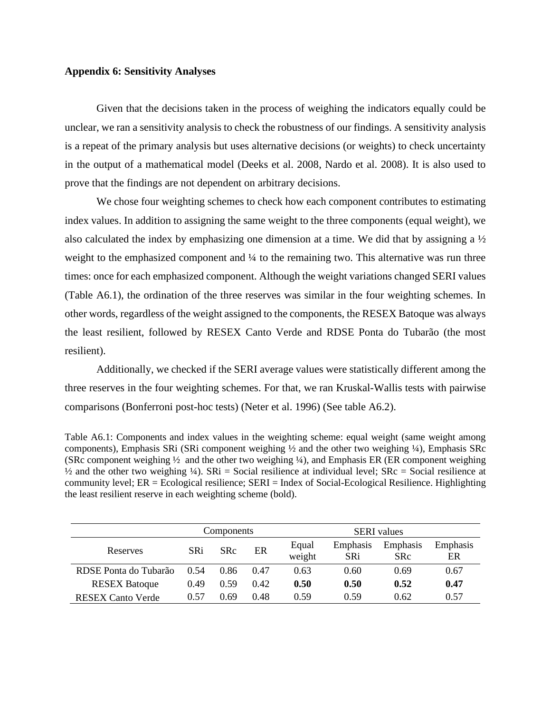## **Appendix 6: Sensitivity Analyses**

Given that the decisions taken in the process of weighing the indicators equally could be unclear, we ran a sensitivity analysis to check the robustness of our findings. A sensitivity analysis is a repeat of the primary analysis but uses alternative decisions (or weights) to check uncertainty in the output of a mathematical model (Deeks et al. 2008, Nardo et al. 2008). It is also used to prove that the findings are not dependent on arbitrary decisions.

We chose four weighting schemes to check how each component contributes to estimating index values. In addition to assigning the same weight to the three components (equal weight), we also calculated the index by emphasizing one dimension at a time. We did that by assigning a  $\frac{1}{2}$ weight to the emphasized component and  $\frac{1}{4}$  to the remaining two. This alternative was run three times: once for each emphasized component. Although the weight variations changed SERI values (Table A6.1), the ordination of the three reserves was similar in the four weighting schemes. In other words, regardless of the weight assigned to the components, the RESEX Batoque was always the least resilient, followed by RESEX Canto Verde and RDSE Ponta do Tubarão (the most resilient).

Additionally, we checked if the SERI average values were statistically different among the three reserves in the four weighting schemes. For that, we ran Kruskal-Wallis tests with pairwise comparisons (Bonferroni post-hoc tests) (Neter et al. 1996) (See table A6.2).

Table A6.1: Components and index values in the weighting scheme: equal weight (same weight among components), Emphasis SRi (SRi component weighing  $\frac{1}{2}$  and the other two weighing  $\frac{1}{4}$ ), Emphasis SRc (SRc component weighing ½ and the other two weighing ¼), and Emphasis ER (ER component weighing  $\frac{1}{2}$  and the other two weighing  $\frac{1}{4}$ ). SRi = Social resilience at individual level; SRc = Social resilience at community level; ER = Ecological resilience; SERI = Index of Social-Ecological Resilience. Highlighting the least resilient reserve in each weighting scheme (bold).

|                          |      | Components |      | <b>SERI</b> values |                 |                        |                |
|--------------------------|------|------------|------|--------------------|-----------------|------------------------|----------------|
| Reserves                 | SRi  | <b>SRc</b> | ER   | Equal<br>weight    | Emphasis<br>SRi | Emphasis<br><b>SRc</b> | Emphasis<br>ER |
| RDSE Ponta do Tubarão    | 0.54 | 0.86       | 0.47 | 0.63               | 0.60            | 0.69                   | 0.67           |
| <b>RESEX Batoque</b>     | 0.49 | 0.59       | 0.42 | 0.50               | 0.50            | 0.52                   | 0.47           |
| <b>RESEX Canto Verde</b> | 0.57 | 0.69       | 0.48 | 0.59               | 0.59            | 0.62                   | 0.57           |